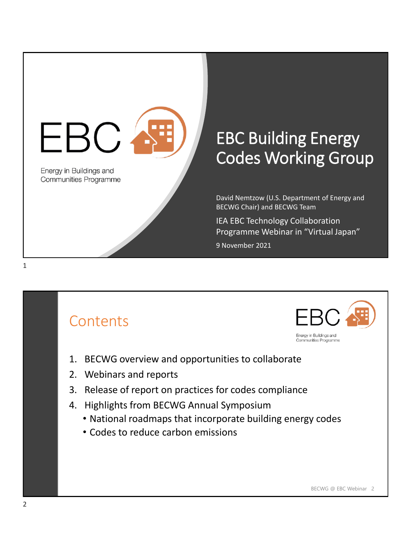

# **EBC Building Energy** Codes Working Group

David Nemtzow (U.S. Department of Energy and BECWG Chair) and BECWG Team

IEA EBC Technology Collaboration Programme Webinar in "Virtual Japan"

9 November 2021

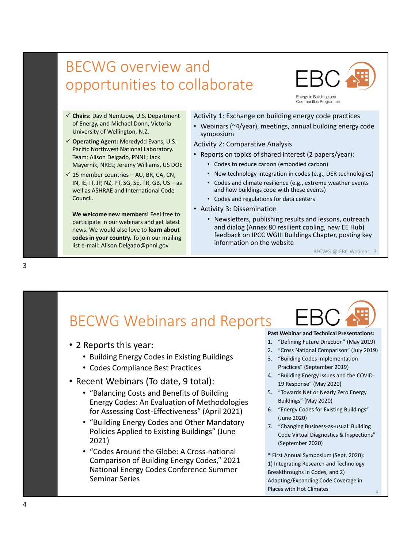### BECWG overview and opportunities to collaborate



- ✓ **Chairs:** David Nemtzow, U.S. Department of Energy, and Michael Donn, Victoria University of Wellington, N.Z.
- ✓ **Operating Agent:** Meredydd Evans, U.S. Pacific Northwest National Laboratory. Team: Alison Delgado, PNNL; Jack Mayernik, NREL; Jeremy Williams, US DOE
- $\checkmark$  15 member countries AU, BR, CA, CN, IN, IE, IT, JP, NZ, PT, SG, SE, TR, GB, US – as well as ASHRAE and International Code Council.

**We welcome new members!** Feel free to participate in our webinars and get latest news. We would also love to **learn about codes in your country.** To join our mailing list e-mail: Alison.Delgado@pnnl.gov <sup>3</sup>

#### Activity 1: Exchange on building energy code practices

• Webinars (~4/year), meetings, annual building energy code symposium

#### Activity 2: Comparative Analysis

- Reports on topics of shared interest (2 papers/year):
	- Codes to reduce carbon (embodied carbon)
	- New technology integration in codes (e.g., DER technologies)
	- Codes and climate resilience (e.g., extreme weather events and how buildings cope with these events)
	- Codes and regulations for data centers
- Activity 3: Dissemination
	- Newsletters, publishing results and lessons, outreach and dialog (Annex 80 resilient cooling, new EE Hub) feedback on IPCC WGIII Buildings Chapter, posting key information on the website

BECWG @ EBC Webinar 3

### BECWG Webinars and Reports

- 2 Reports this year:
	- Building Energy Codes in Existing Buildings
	- Codes Compliance Best Practices
- Recent Webinars (To date, 9 total):
	- "Balancing Costs and Benefits of Building Energy Codes: An Evaluation of Methodologies for Assessing Cost-Effectiveness" (April 2021)
	- "Building Energy Codes and Other Mandatory Policies Applied to Existing Buildings" (June 2021)
	- "Codes Around the Globe: A Cross-national Comparison of Building Energy Codes," 2021 National Energy Codes Conference Summer Seminar Series

#### **Past Webinar and Technical Presentations:**

- 1. "Defining Future Direction" (May 2019)
- 2. "Cross National Comparison" (July 2019)
- 3. "Building Codes Implementation Practices" (September 2019)
- 4. "Building Energy Issues and the COVID-19 Response" (May 2020)
- 5. "Towards Net or Nearly Zero Energy Buildings" (May 2020)
- 6. "Energy Codes for Existing Buildings" (June 2020)
- 7. "Changing Business-as-usual: Building Code Virtual Diagnostics & Inspections" (September 2020)

\* First Annual Symposium (Sept. 2020): 1) Integrating Research and Technology Breakthroughs in Codes, and 2) Adapting/Expanding Code Coverage in Places with Hot Climates <sup>4</sup>

 $\Delta$ 

3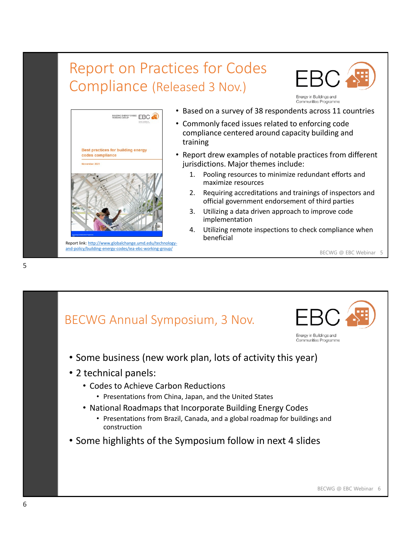## Report on Practices for Codes Compliance (Released 3 Nov.)





[Report link: http://www.globalchange.umd.edu/technology](http://www.globalchange.umd.edu/technology-and-policy/building-energy-codes/iea-ebc-working-group/)and-policy/building-energy-codes/iea-ebc-working-group/

- Based on a survey of 38 respondents across 11 countries
- Commonly faced issues related to enforcing code compliance centered around capacity building and training
- Report drew examples of notable practices from different jurisdictions. Major themes include:
	- 1. Pooling resources to minimize redundant efforts and maximize resources
	- 2. Requiring accreditations and trainings of inspectors and official government endorsement of third parties
	- 3. Utilizing a data driven approach to improve code implementation
	- 4. Utilizing remote inspections to check compliance when beneficial

BECWG @ EBC Webinar 5



5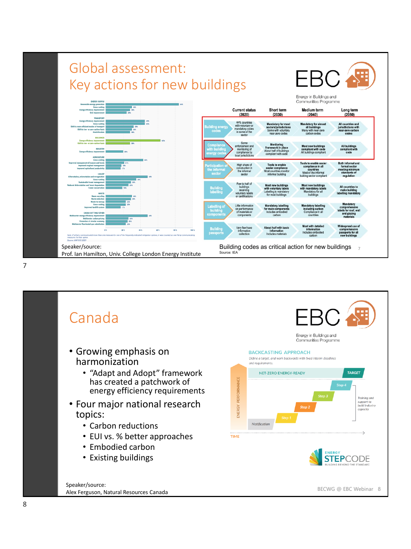

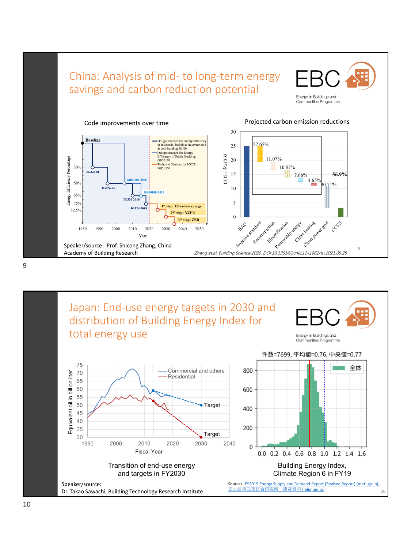

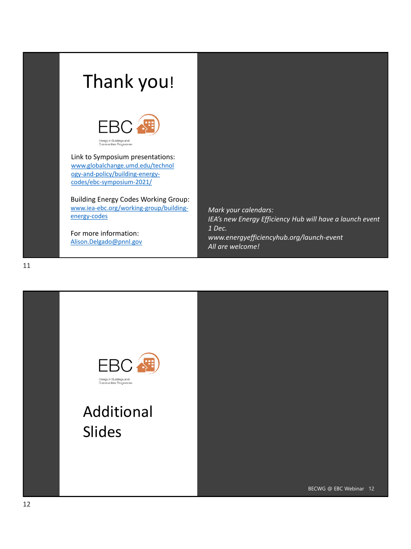# Thank you!



Link to Symposium presentations: [www.globalchange.umd.edu/technol](http://www.globalchange.umd.edu/technology-and-policy/building-energy-codes/ebc-symposium-2021/) ogy-and-policy/building-energycodes/ebc-symposium-2021/

Building Energy Codes Working Group: [www.iea-ebc.org/working-group/building](http://www.iea-ebc.org/working-group/building-energy-codes)energy-codes

For more information: [Alison.Delgado@pnnl.gov](mailto:Alison.Delgado@pnnl.gov)

*Mark your calendars: IEA's new Energy Efficiency Hub will have a launch event 1 Dec. www.energyefficiencyhub.org/launch-event All are welcome!*